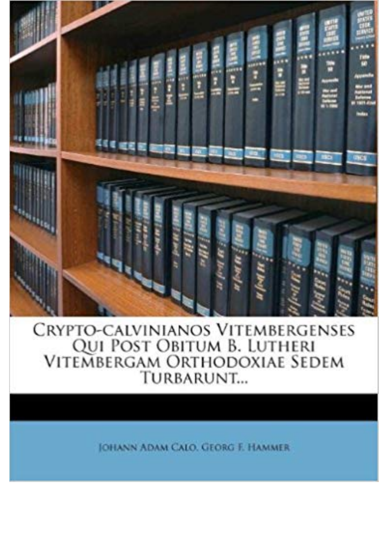

CRYPTO-CALVINIANOS VITEMBERGENSES<br>QUI POST OBITUM B. LUTHERI<br>VITEMBERGAM ORTHODOXIAE SEDEM TURBARUNT...

**JOHANN ADAM CALO, GEORG F. HAMMER**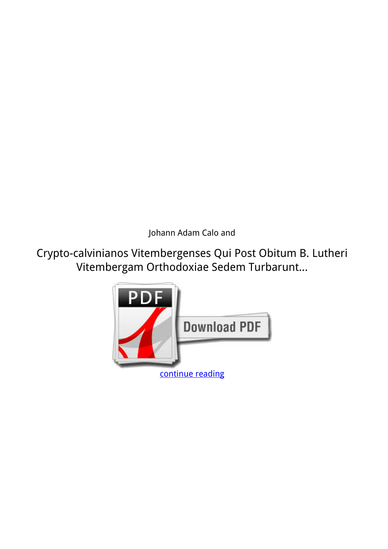*Johann Adam Calo and*

**Crypto-calvinianos Vitembergenses Qui Post Obitum B. Lutheri Vitembergam Orthodoxiae Sedem Turbarunt...**

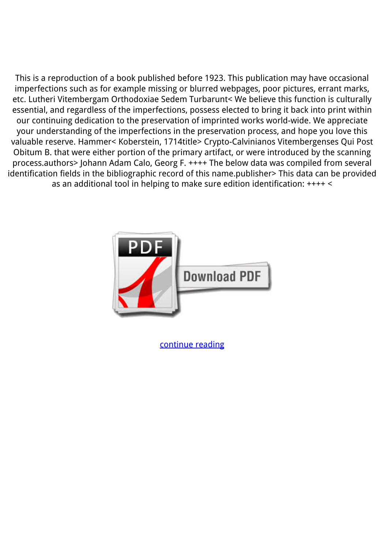This is a reproduction of a book published before 1923. This publication may have occasional imperfections such as for example missing or blurred webpages, poor pictures, errant marks, etc. Lutheri Vitembergam Orthodoxiae Sedem Turbarunt< We believe this function is culturally essential, and regardless of the imperfections, possess elected to bring it back into print within our continuing dedication to the preservation of imprinted works world-wide. We appreciate your understanding of the imperfections in the preservation process, and hope you love this valuable reserve. Hammer< Koberstein, 1714title> Crypto-Calvinianos Vitembergenses Qui Post Obitum B. that were either portion of the primary artifact, or were introduced by the scanning process.authors> Johann Adam Calo, Georg F. ++++ The below data was compiled from several identification fields in the bibliographic record of this name.publisher> This data can be provided as an additional tool in helping to make sure edition identification: ++++ <



[continue reading](http://bit.ly/2Tge8Fv)